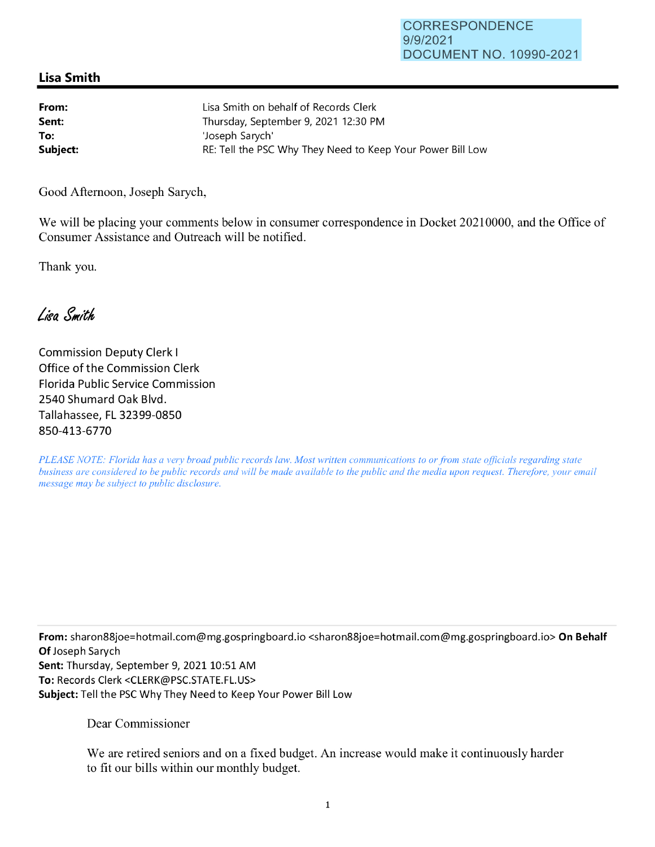## **Lisa Smith**

| From:    | Lisa Smith on behalf of Records Clerk                      |
|----------|------------------------------------------------------------|
| Sent:    | Thursday, September 9, 2021 12:30 PM                       |
| To:      | 'Joseph Sarvch'                                            |
| Subject: | RE: Tell the PSC Why They Need to Keep Your Power Bill Low |

Good Afternoon, Joseph Sarych,

We will be placing your comments below in consumer correspondence in Docket 20210000, and the Office of Consumer Assistance and Outreach will be notified.

Thank you.

Lisa Smith

Commission Deputy Clerk I Office of the Commission Clerk Florida Public Service Commission 2540 Shumard Oak Blvd. Tallahassee, FL 32399-0850 850-413-6770

*PLEASE NOTE: Florida has a very broad public records law. Most written communications to or from state officials regarding state business are considered to be public records and will be made available to the public and the media upon request. Therefore, your email message may be subject to public disclosure.* 

**From:** sharon88joe=hotmai1.com@mg.gospringboard.io <sharon88joe=hotmai1.com@mg.gospringboard.io> **On Behalf Of** Joseph Sarych Sent: Thursday, September 9, 2021 10:51 AM **To:** Records Clerk <CLERK@PSC.STATE.FL.US> **Subject:** Tell the PSC Why They Need to Keep Your Power Bill Low

Dear Commissioner

We are retired seniors and on a fixed budget. An increase would make it continuously harder to fit our bills within our monthly budget.